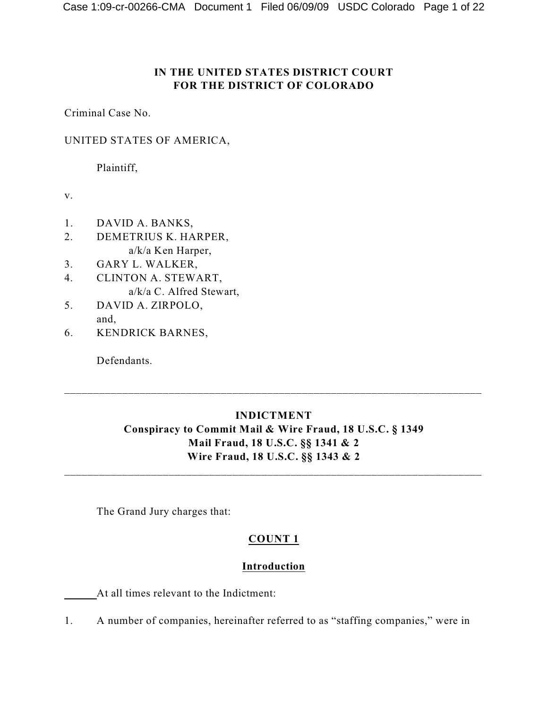# **IN THE UNITED STATES DISTRICT COURT FOR THE DISTRICT OF COLORADO**

Criminal Case No.

## UNITED STATES OF AMERICA,

Plaintiff,

v.

- 1. DAVID A. BANKS,
- 2. DEMETRIUS K. HARPER, a/k/a Ken Harper,
- 3. GARY L. WALKER,
- 4. CLINTON A. STEWART,
	- a/k/a C. Alfred Stewart,
- 5. DAVID A. ZIRPOLO, and,
- 6. KENDRICK BARNES,

Defendants.

# **INDICTMENT Conspiracy to Commit Mail & Wire Fraud, 18 U.S.C. § 1349 Mail Fraud, 18 U.S.C. §§ 1341 & 2 Wire Fraud, 18 U.S.C. §§ 1343 & 2**

\_\_\_\_\_\_\_\_\_\_\_\_\_\_\_\_\_\_\_\_\_\_\_\_\_\_\_\_\_\_\_\_\_\_\_\_\_\_\_\_\_\_\_\_\_\_\_\_\_\_\_\_\_\_\_\_\_\_\_\_\_\_\_\_\_\_\_\_\_\_\_\_

\_\_\_\_\_\_\_\_\_\_\_\_\_\_\_\_\_\_\_\_\_\_\_\_\_\_\_\_\_\_\_\_\_\_\_\_\_\_\_\_\_\_\_\_\_\_\_\_\_\_\_\_\_\_\_\_\_\_\_\_\_\_\_\_\_\_\_\_\_\_\_\_

The Grand Jury charges that:

## **COUNT 1**

## **Introduction**

At all times relevant to the Indictment:

1. A number of companies, hereinafter referred to as "staffing companies," were in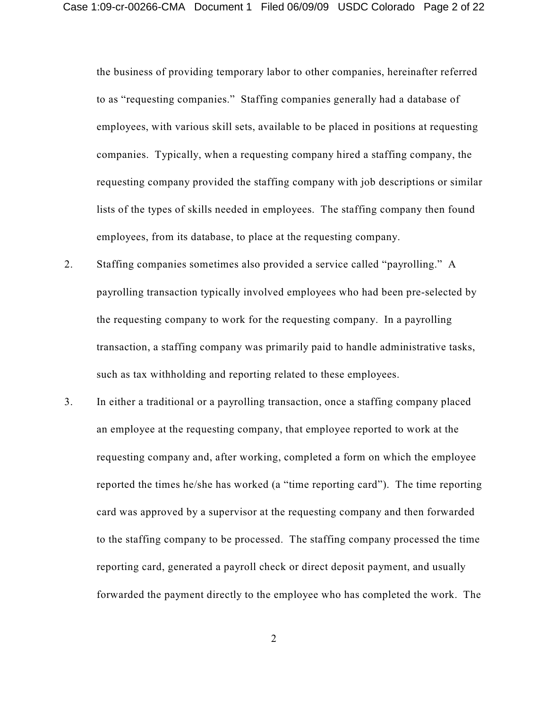the business of providing temporary labor to other companies, hereinafter referred to as "requesting companies." Staffing companies generally had a database of employees, with various skill sets, available to be placed in positions at requesting companies. Typically, when a requesting company hired a staffing company, the requesting company provided the staffing company with job descriptions or similar lists of the types of skills needed in employees. The staffing company then found employees, from its database, to place at the requesting company.

- 2. Staffing companies sometimes also provided a service called "payrolling." A payrolling transaction typically involved employees who had been pre-selected by the requesting company to work for the requesting company. In a payrolling transaction, a staffing company was primarily paid to handle administrative tasks, such as tax withholding and reporting related to these employees.
- 3. In either a traditional or a payrolling transaction, once a staffing company placed an employee at the requesting company, that employee reported to work at the requesting company and, after working, completed a form on which the employee reported the times he/she has worked (a "time reporting card"). The time reporting card was approved by a supervisor at the requesting company and then forwarded to the staffing company to be processed. The staffing company processed the time reporting card, generated a payroll check or direct deposit payment, and usually forwarded the payment directly to the employee who has completed the work. The

2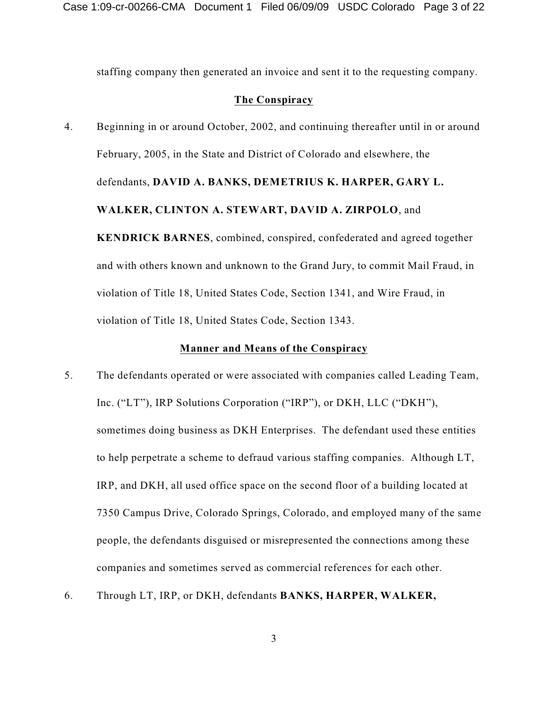staffing company then generated an invoice and sent it to the requesting company.

### **The Conspiracy**

4. Beginning in or around October, 2002, and continuing thereafter until in or around February, 2005, in the State and District of Colorado and elsewhere, the defendants, **DAVID A. BANKS, DEMETRIUS K. HARPER, GARY L. WALKER, CLINTON A. STEWART, DAVID A. ZIRPOLO**, and **KENDRICK BARNES**, combined, conspired, confederated and agreed together and with others known and unknown to the Grand Jury, to commit Mail Fraud, in violation of Title 18, United States Code, Section 1341, and Wire Fraud, in violation of Title 18, United States Code, Section 1343.

#### **Manner and Means of the Conspiracy**

- 5. The defendants operated or were associated with companies called Leading Team, Inc. ("LT"), IRP Solutions Corporation ("IRP"), or DKH, LLC ("DKH"), sometimes doing business as DKH Enterprises. The defendant used these entities to help perpetrate a scheme to defraud various staffing companies. Although LT, IRP, and DKH, all used office space on the second floor of a building located at 7350 Campus Drive, Colorado Springs, Colorado, and employed many of the same people, the defendants disguised or misrepresented the connections among these companies and sometimes served as commercial references for each other.
- 6. Through LT, IRP, or DKH, defendants **BANKS, HARPER, WALKER,**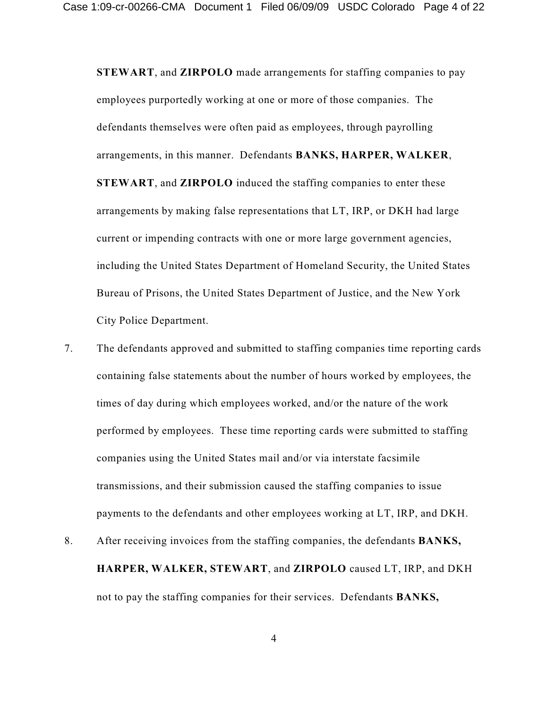**STEWART**, and **ZIRPOLO** made arrangements for staffing companies to pay employees purportedly working at one or more of those companies. The defendants themselves were often paid as employees, through payrolling arrangements, in this manner. Defendants **BANKS, HARPER, WALKER**, **STEWART**, and **ZIRPOLO** induced the staffing companies to enter these arrangements by making false representations that LT, IRP, or DKH had large current or impending contracts with one or more large government agencies, including the United States Department of Homeland Security, the United States Bureau of Prisons, the United States Department of Justice, and the New York City Police Department.

- 7. The defendants approved and submitted to staffing companies time reporting cards containing false statements about the number of hours worked by employees, the times of day during which employees worked, and/or the nature of the work performed by employees. These time reporting cards were submitted to staffing companies using the United States mail and/or via interstate facsimile transmissions, and their submission caused the staffing companies to issue payments to the defendants and other employees working at LT, IRP, and DKH.
- 8. After receiving invoices from the staffing companies, the defendants **BANKS, HARPER, WALKER, STEWART**, and **ZIRPOLO** caused LT, IRP, and DKH not to pay the staffing companies for their services. Defendants **BANKS,**

4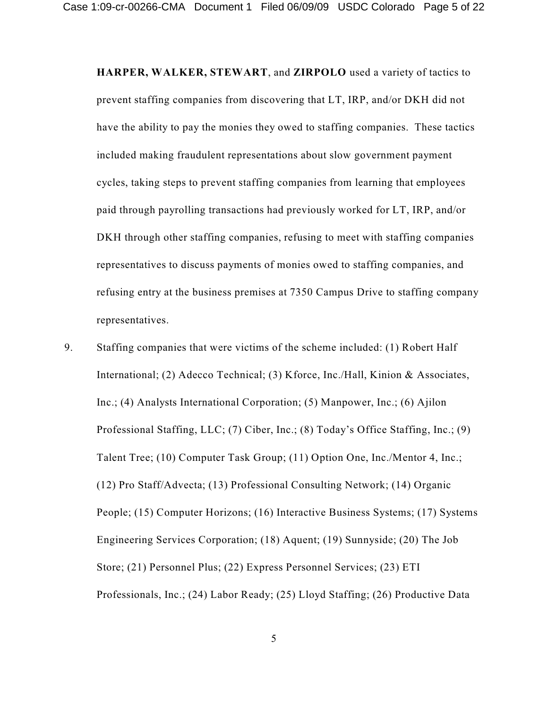**HARPER, WALKER, STEWART**, and **ZIRPOLO** used a variety of tactics to prevent staffing companies from discovering that LT, IRP, and/or DKH did not have the ability to pay the monies they owed to staffing companies. These tactics included making fraudulent representations about slow government payment cycles, taking steps to prevent staffing companies from learning that employees paid through payrolling transactions had previously worked for LT, IRP, and/or DKH through other staffing companies, refusing to meet with staffing companies representatives to discuss payments of monies owed to staffing companies, and refusing entry at the business premises at 7350 Campus Drive to staffing company representatives.

9. Staffing companies that were victims of the scheme included: (1) Robert Half International; (2) Adecco Technical; (3) Kforce, Inc./Hall, Kinion & Associates, Inc.; (4) Analysts International Corporation; (5) Manpower, Inc.; (6) Ajilon Professional Staffing, LLC; (7) Ciber, Inc.; (8) Today's Office Staffing, Inc.; (9) Talent Tree; (10) Computer Task Group; (11) Option One, Inc./Mentor 4, Inc.; (12) Pro Staff/Advecta; (13) Professional Consulting Network; (14) Organic People; (15) Computer Horizons; (16) Interactive Business Systems; (17) Systems Engineering Services Corporation; (18) Aquent; (19) Sunnyside; (20) The Job Store; (21) Personnel Plus; (22) Express Personnel Services; (23) ETI Professionals, Inc.; (24) Labor Ready; (25) Lloyd Staffing; (26) Productive Data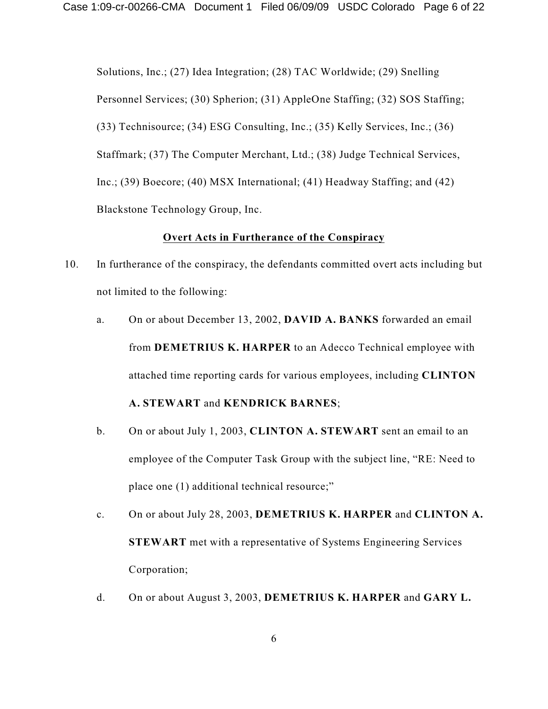Solutions, Inc.; (27) Idea Integration; (28) TAC Worldwide; (29) Snelling Personnel Services; (30) Spherion; (31) AppleOne Staffing; (32) SOS Staffing; (33) Technisource; (34) ESG Consulting, Inc.; (35) Kelly Services, Inc.; (36) Staffmark; (37) The Computer Merchant, Ltd.; (38) Judge Technical Services, Inc.; (39) Boecore; (40) MSX International; (41) Headway Staffing; and (42) Blackstone Technology Group, Inc.

### **Overt Acts in Furtherance of the Conspiracy**

- 10. In furtherance of the conspiracy, the defendants committed overt acts including but not limited to the following:
	- a. On or about December 13, 2002, **DAVID A. BANKS** forwarded an email from **DEMETRIUS K. HARPER** to an Adecco Technical employee with attached time reporting cards for various employees, including **CLINTON**

# **A. STEWART** and **KENDRICK BARNES**;

- b. On or about July 1, 2003, **CLINTON A. STEWART** sent an email to an employee of the Computer Task Group with the subject line, "RE: Need to place one (1) additional technical resource;"
- c. On or about July 28, 2003, **DEMETRIUS K. HARPER** and **CLINTON A. STEWART** met with a representative of Systems Engineering Services Corporation;
- d. On or about August 3, 2003, **DEMETRIUS K. HARPER** and **GARY L.**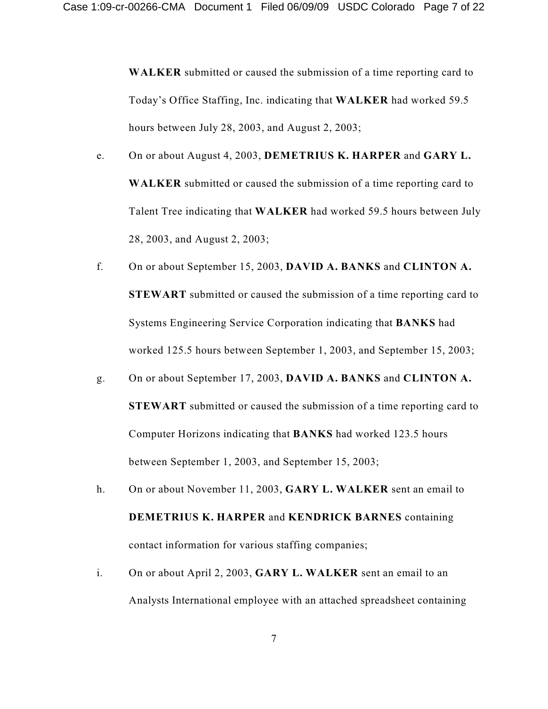**WALKER** submitted or caused the submission of a time reporting card to Today's Office Staffing, Inc. indicating that **WALKER** had worked 59.5 hours between July 28, 2003, and August 2, 2003;

- e. On or about August 4, 2003, **DEMETRIUS K. HARPER** and **GARY L. WALKER** submitted or caused the submission of a time reporting card to Talent Tree indicating that **WALKER** had worked 59.5 hours between July 28, 2003, and August 2, 2003;
- f. On or about September 15, 2003, **DAVID A. BANKS** and **CLINTON A. STEWART** submitted or caused the submission of a time reporting card to Systems Engineering Service Corporation indicating that **BANKS** had worked 125.5 hours between September 1, 2003, and September 15, 2003;
- g. On or about September 17, 2003, **DAVID A. BANKS** and **CLINTON A. STEWART** submitted or caused the submission of a time reporting card to Computer Horizons indicating that **BANKS** had worked 123.5 hours between September 1, 2003, and September 15, 2003;
- h. On or about November 11, 2003, **GARY L. WALKER** sent an email to **DEMETRIUS K. HARPER** and **KENDRICK BARNES** containing contact information for various staffing companies;
- i. On or about April 2, 2003, **GARY L. WALKER** sent an email to an Analysts International employee with an attached spreadsheet containing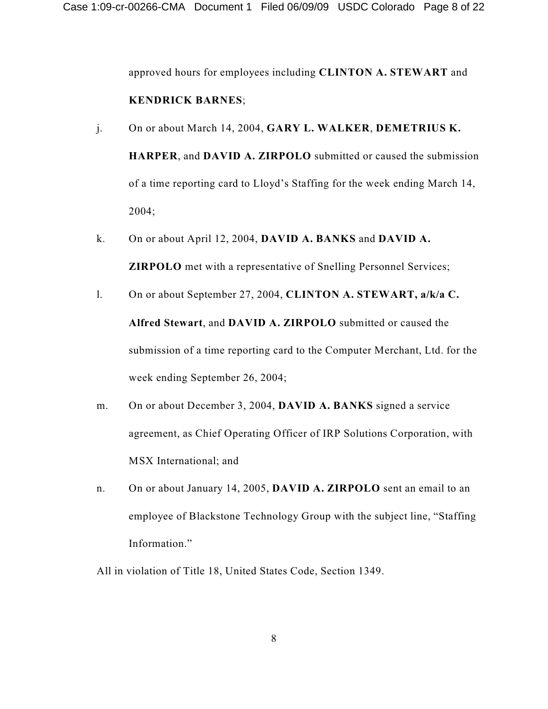approved hours for employees including **CLINTON A. STEWART** and **KENDRICK BARNES**;

- j. On or about March 14, 2004, **GARY L. WALKER**, **DEMETRIUS K. HARPER**, and **DAVID A. ZIRPOLO** submitted or caused the submission of a time reporting card to Lloyd's Staffing for the week ending March 14, 2004;
- k. On or about April 12, 2004, **DAVID A. BANKS** and **DAVID A. ZIRPOLO** met with a representative of Snelling Personnel Services;
- l. On or about September 27, 2004, **CLINTON A. STEWART, a/k/a C. Alfred Stewart**, and **DAVID A. ZIRPOLO** submitted or caused the submission of a time reporting card to the Computer Merchant, Ltd. for the week ending September 26, 2004;
- m. On or about December 3, 2004, **DAVID A. BANKS** signed a service agreement, as Chief Operating Officer of IRP Solutions Corporation, with MSX International; and
- n. On or about January 14, 2005, **DAVID A. ZIRPOLO** sent an email to an employee of Blackstone Technology Group with the subject line, "Staffing Information."

All in violation of Title 18, United States Code, Section 1349.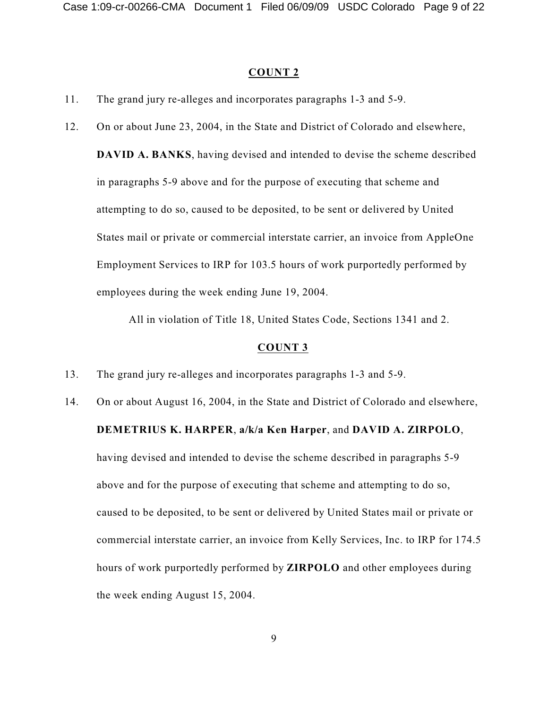#### **COUNT 2**

- 11. The grand jury re-alleges and incorporates paragraphs 1-3 and 5-9.
- 12. On or about June 23, 2004, in the State and District of Colorado and elsewhere, **DAVID A. BANKS**, having devised and intended to devise the scheme described in paragraphs 5-9 above and for the purpose of executing that scheme and attempting to do so, caused to be deposited, to be sent or delivered by United States mail or private or commercial interstate carrier, an invoice from AppleOne Employment Services to IRP for 103.5 hours of work purportedly performed by employees during the week ending June 19, 2004.

All in violation of Title 18, United States Code, Sections 1341 and 2.

- 13. The grand jury re-alleges and incorporates paragraphs 1-3 and 5-9.
- 14. On or about August 16, 2004, in the State and District of Colorado and elsewhere, **DEMETRIUS K. HARPER**, **a/k/a Ken Harper**, and **DAVID A. ZIRPOLO**, having devised and intended to devise the scheme described in paragraphs 5-9 above and for the purpose of executing that scheme and attempting to do so, caused to be deposited, to be sent or delivered by United States mail or private or commercial interstate carrier, an invoice from Kelly Services, Inc. to IRP for 174.5 hours of work purportedly performed by **ZIRPOLO** and other employees during the week ending August 15, 2004.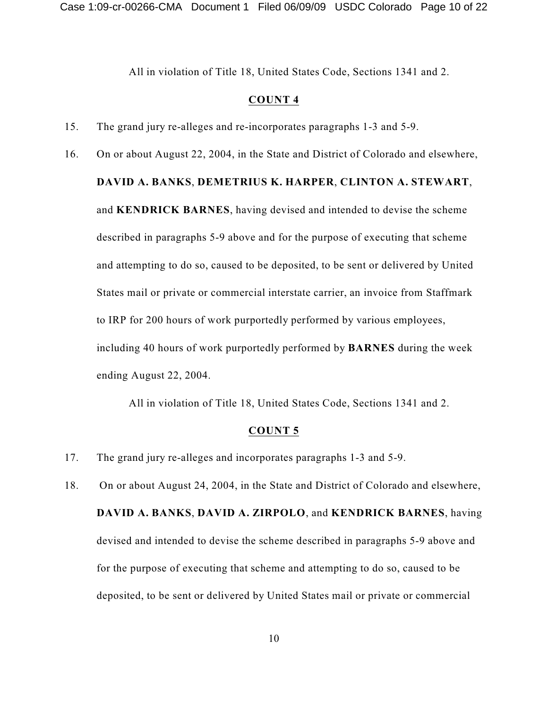All in violation of Title 18, United States Code, Sections 1341 and 2.

#### **COUNT 4**

- 15. The grand jury re-alleges and re-incorporates paragraphs 1-3 and 5-9.
- 16. On or about August 22, 2004, in the State and District of Colorado and elsewhere,

### **DAVID A. BANKS**, **DEMETRIUS K. HARPER**, **CLINTON A. STEWART**,

and **KENDRICK BARNES**, having devised and intended to devise the scheme described in paragraphs 5-9 above and for the purpose of executing that scheme and attempting to do so, caused to be deposited, to be sent or delivered by United States mail or private or commercial interstate carrier, an invoice from Staffmark to IRP for 200 hours of work purportedly performed by various employees, including 40 hours of work purportedly performed by **BARNES** during the week ending August 22, 2004.

All in violation of Title 18, United States Code, Sections 1341 and 2.

- 17. The grand jury re-alleges and incorporates paragraphs 1-3 and 5-9.
- 18. On or about August 24, 2004, in the State and District of Colorado and elsewhere, **DAVID A. BANKS**, **DAVID A. ZIRPOLO**, and **KENDRICK BARNES**, having devised and intended to devise the scheme described in paragraphs 5-9 above and for the purpose of executing that scheme and attempting to do so, caused to be deposited, to be sent or delivered by United States mail or private or commercial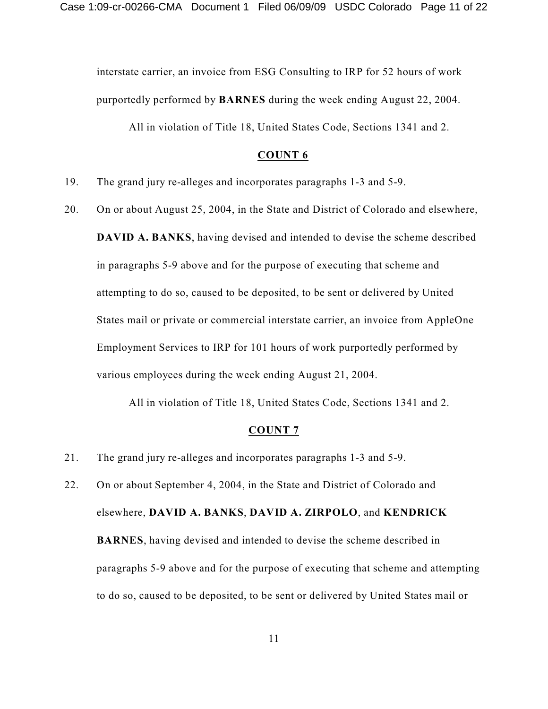interstate carrier, an invoice from ESG Consulting to IRP for 52 hours of work purportedly performed by **BARNES** during the week ending August 22, 2004.

All in violation of Title 18, United States Code, Sections 1341 and 2.

#### **COUNT 6**

- 19. The grand jury re-alleges and incorporates paragraphs 1-3 and 5-9.
- 20. On or about August 25, 2004, in the State and District of Colorado and elsewhere, **DAVID A. BANKS**, having devised and intended to devise the scheme described in paragraphs 5-9 above and for the purpose of executing that scheme and attempting to do so, caused to be deposited, to be sent or delivered by United States mail or private or commercial interstate carrier, an invoice from AppleOne Employment Services to IRP for 101 hours of work purportedly performed by various employees during the week ending August 21, 2004.

All in violation of Title 18, United States Code, Sections 1341 and 2.

- 21. The grand jury re-alleges and incorporates paragraphs 1-3 and 5-9.
- 22. On or about September 4, 2004, in the State and District of Colorado and elsewhere, **DAVID A. BANKS**, **DAVID A. ZIRPOLO**, and **KENDRICK BARNES**, having devised and intended to devise the scheme described in paragraphs 5-9 above and for the purpose of executing that scheme and attempting to do so, caused to be deposited, to be sent or delivered by United States mail or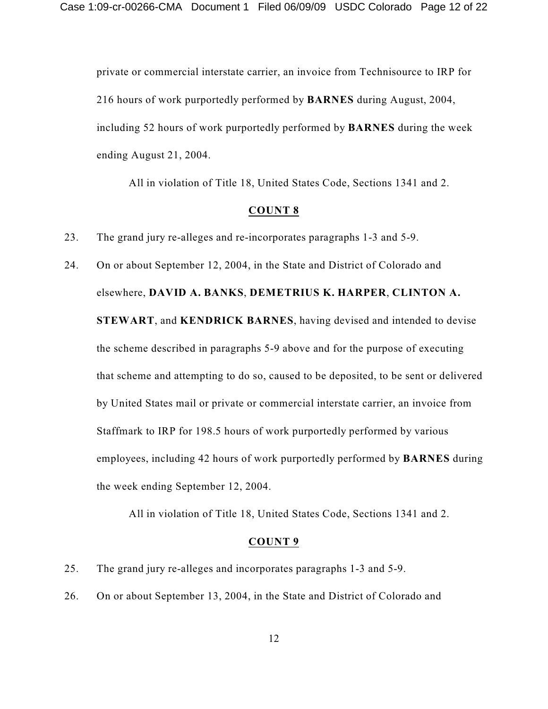private or commercial interstate carrier, an invoice from Technisource to IRP for 216 hours of work purportedly performed by **BARNES** during August, 2004, including 52 hours of work purportedly performed by **BARNES** during the week ending August 21, 2004.

All in violation of Title 18, United States Code, Sections 1341 and 2.

#### **COUNT 8**

23. The grand jury re-alleges and re-incorporates paragraphs 1-3 and 5-9.

24. On or about September 12, 2004, in the State and District of Colorado and elsewhere, **DAVID A. BANKS**, **DEMETRIUS K. HARPER**, **CLINTON A. STEWART**, and **KENDRICK BARNES**, having devised and intended to devise the scheme described in paragraphs 5-9 above and for the purpose of executing that scheme and attempting to do so, caused to be deposited, to be sent or delivered by United States mail or private or commercial interstate carrier, an invoice from Staffmark to IRP for 198.5 hours of work purportedly performed by various employees, including 42 hours of work purportedly performed by **BARNES** during the week ending September 12, 2004.

All in violation of Title 18, United States Code, Sections 1341 and 2.

- 25. The grand jury re-alleges and incorporates paragraphs 1-3 and 5-9.
- 26. On or about September 13, 2004, in the State and District of Colorado and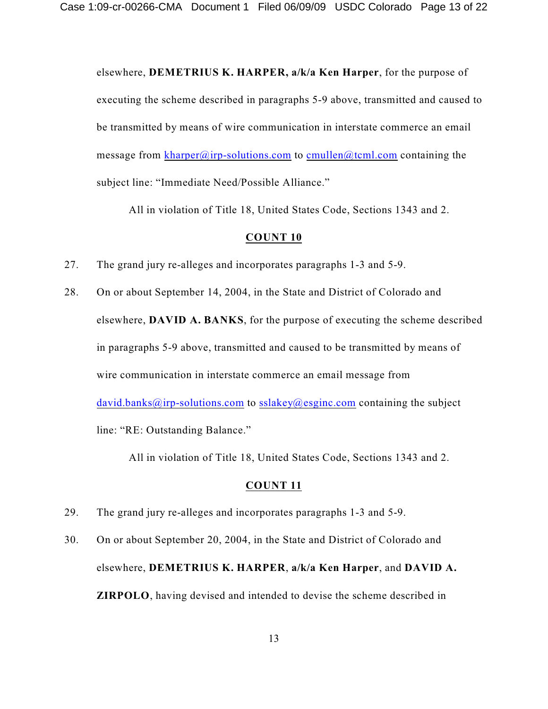elsewhere, **DEMETRIUS K. HARPER, a/k/a Ken Harper**, for the purpose of executing the scheme described in paragraphs 5-9 above, transmitted and caused to be transmitted by means of wire communication in interstate commerce an email message from [kharper@irp-solutions.com](mailto:david.banks@irp-solutions.com) to [cmullen@tcml.com](mailto:cmullen@tcml.com) containing the subject line: "Immediate Need/Possible Alliance."

All in violation of Title 18, United States Code, Sections 1343 and 2.

#### **COUNT 10**

- 27. The grand jury re-alleges and incorporates paragraphs 1-3 and 5-9.
- 28. On or about September 14, 2004, in the State and District of Colorado and elsewhere, **DAVID A. BANKS**, for the purpose of executing the scheme described in paragraphs 5-9 above, transmitted and caused to be transmitted by means of wire communication in interstate commerce an email message from [david.banks@irp-solutions.com](mailto:david.banks@irp-solutions.com) to [sslakey@esginc.com](mailto:kpillas@technisource.com) containing the subject line: "RE: Outstanding Balance."

All in violation of Title 18, United States Code, Sections 1343 and 2.

- 29. The grand jury re-alleges and incorporates paragraphs 1-3 and 5-9.
- 30. On or about September 20, 2004, in the State and District of Colorado and elsewhere, **DEMETRIUS K. HARPER**, **a/k/a Ken Harper**, and **DAVID A. ZIRPOLO**, having devised and intended to devise the scheme described in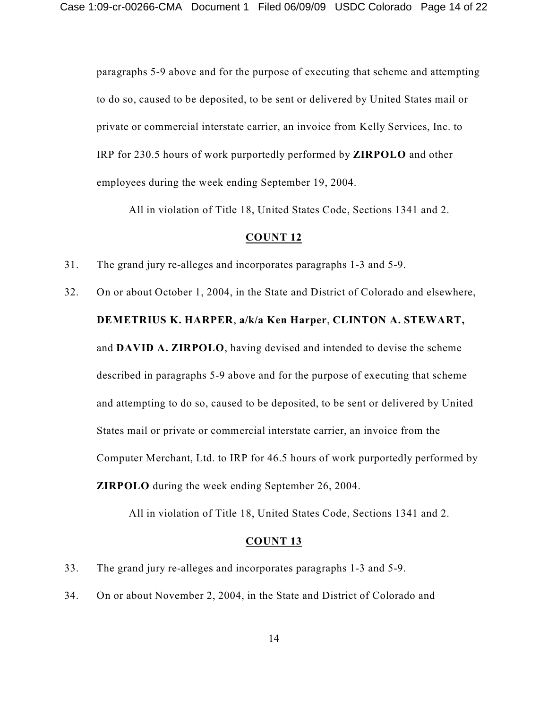paragraphs 5-9 above and for the purpose of executing that scheme and attempting to do so, caused to be deposited, to be sent or delivered by United States mail or private or commercial interstate carrier, an invoice from Kelly Services, Inc. to IRP for 230.5 hours of work purportedly performed by **ZIRPOLO** and other employees during the week ending September 19, 2004.

All in violation of Title 18, United States Code, Sections 1341 and 2.

#### **COUNT 12**

- 31. The grand jury re-alleges and incorporates paragraphs 1-3 and 5-9.
- 32. On or about October 1, 2004, in the State and District of Colorado and elsewhere, **DEMETRIUS K. HARPER**, **a/k/a Ken Harper**, **CLINTON A. STEWART,** and **DAVID A. ZIRPOLO**, having devised and intended to devise the scheme described in paragraphs 5-9 above and for the purpose of executing that scheme and attempting to do so, caused to be deposited, to be sent or delivered by United States mail or private or commercial interstate carrier, an invoice from the Computer Merchant, Ltd. to IRP for 46.5 hours of work purportedly performed by **ZIRPOLO** during the week ending September 26, 2004.

All in violation of Title 18, United States Code, Sections 1341 and 2.

- 33. The grand jury re-alleges and incorporates paragraphs 1-3 and 5-9.
- 34. On or about November 2, 2004, in the State and District of Colorado and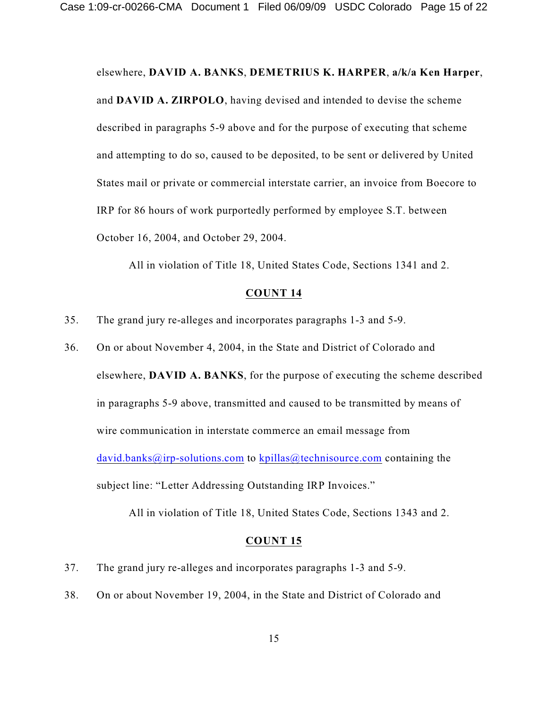elsewhere, **DAVID A. BANKS**, **DEMETRIUS K. HARPER**, **a/k/a Ken Harper**, and **DAVID A. ZIRPOLO**, having devised and intended to devise the scheme described in paragraphs 5-9 above and for the purpose of executing that scheme and attempting to do so, caused to be deposited, to be sent or delivered by United States mail or private or commercial interstate carrier, an invoice from Boecore to IRP for 86 hours of work purportedly performed by employee S.T. between October 16, 2004, and October 29, 2004.

All in violation of Title 18, United States Code, Sections 1341 and 2.

### **COUNT 14**

- 35. The grand jury re-alleges and incorporates paragraphs 1-3 and 5-9.
- 36. On or about November 4, 2004, in the State and District of Colorado and elsewhere, **DAVID A. BANKS**, for the purpose of executing the scheme described in paragraphs 5-9 above, transmitted and caused to be transmitted by means of wire communication in interstate commerce an email message from [david.banks@irp-solutions.com](mailto:david.banks@irp-solutions.com) to [kpillas@technisource.com](mailto:kpillas@technisource.com) containing the subject line: "Letter Addressing Outstanding IRP Invoices."

All in violation of Title 18, United States Code, Sections 1343 and 2.

- 37. The grand jury re-alleges and incorporates paragraphs 1-3 and 5-9.
- 38. On or about November 19, 2004, in the State and District of Colorado and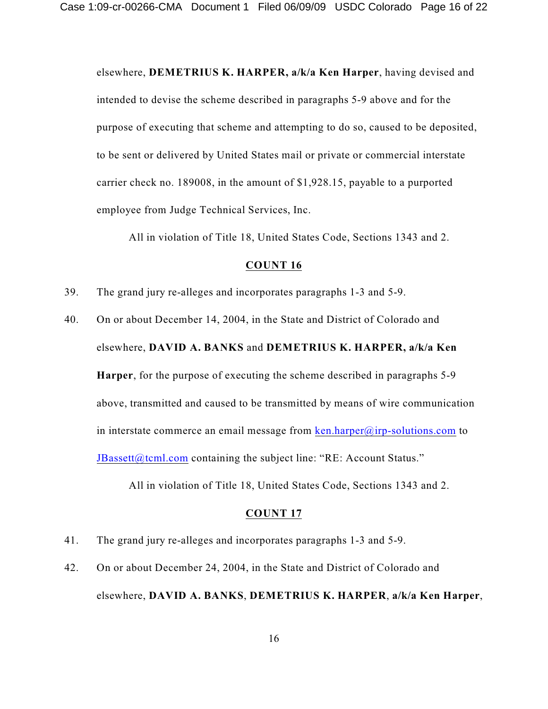elsewhere, **DEMETRIUS K. HARPER, a/k/a Ken Harper**, having devised and intended to devise the scheme described in paragraphs 5-9 above and for the purpose of executing that scheme and attempting to do so, caused to be deposited, to be sent or delivered by United States mail or private or commercial interstate carrier check no. 189008, in the amount of \$1,928.15, payable to a purported employee from Judge Technical Services, Inc.

All in violation of Title 18, United States Code, Sections 1343 and 2.

### **COUNT 16**

- 39. The grand jury re-alleges and incorporates paragraphs 1-3 and 5-9.
- 40. On or about December 14, 2004, in the State and District of Colorado and elsewhere, **DAVID A. BANKS** and **DEMETRIUS K. HARPER, a/k/a Ken Harper**, for the purpose of executing the scheme described in paragraphs 5-9 above, transmitted and caused to be transmitted by means of wire communication in interstate commerce an email message from [ken.harper@irp-solutions.com](mailto:david.banks@irp-solutions.com) to  $JBassett@tcml.com containing the subject line: "RE: Account Status."$  $JBassett@tcml.com containing the subject line: "RE: Account Status."$

All in violation of Title 18, United States Code, Sections 1343 and 2.

- 41. The grand jury re-alleges and incorporates paragraphs 1-3 and 5-9.
- 42. On or about December 24, 2004, in the State and District of Colorado and elsewhere, **DAVID A. BANKS**, **DEMETRIUS K. HARPER**, **a/k/a Ken Harper**,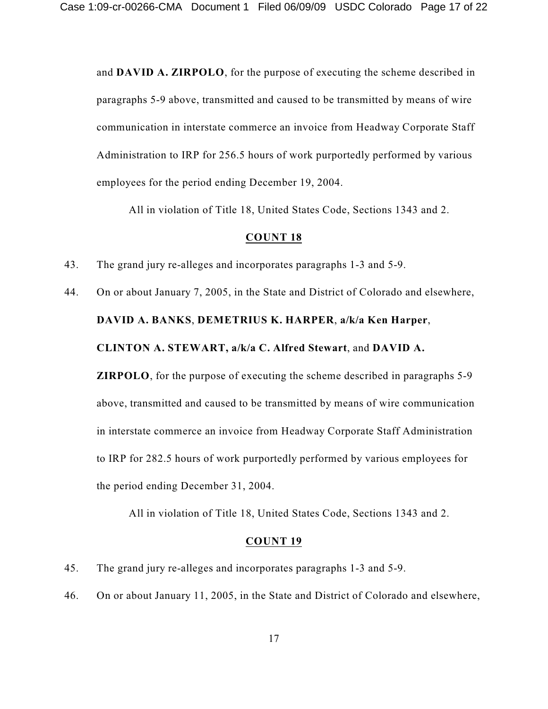and **DAVID A. ZIRPOLO**, for the purpose of executing the scheme described in paragraphs 5-9 above, transmitted and caused to be transmitted by means of wire communication in interstate commerce an invoice from Headway Corporate Staff Administration to IRP for 256.5 hours of work purportedly performed by various employees for the period ending December 19, 2004.

All in violation of Title 18, United States Code, Sections 1343 and 2.

#### **COUNT 18**

43. The grand jury re-alleges and incorporates paragraphs 1-3 and 5-9.

44. On or about January 7, 2005, in the State and District of Colorado and elsewhere, **DAVID A. BANKS**, **DEMETRIUS K. HARPER**, **a/k/a Ken Harper**, **CLINTON A. STEWART, a/k/a C. Alfred Stewart**, and **DAVID A. ZIRPOLO**, for the purpose of executing the scheme described in paragraphs 5-9 above, transmitted and caused to be transmitted by means of wire communication in interstate commerce an invoice from Headway Corporate Staff Administration to IRP for 282.5 hours of work purportedly performed by various employees for the period ending December 31, 2004.

All in violation of Title 18, United States Code, Sections 1343 and 2.

- 45. The grand jury re-alleges and incorporates paragraphs 1-3 and 5-9.
- 46. On or about January 11, 2005, in the State and District of Colorado and elsewhere,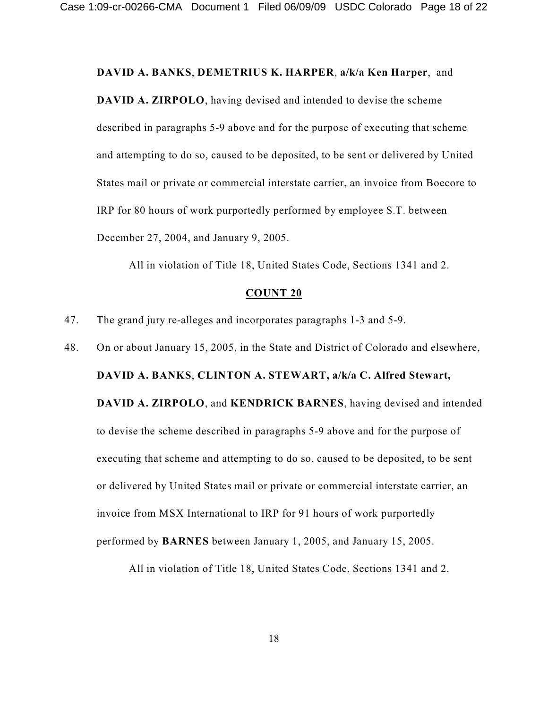#### **DAVID A. BANKS**, **DEMETRIUS K. HARPER**, **a/k/a Ken Harper**, and

**DAVID A. ZIRPOLO**, having devised and intended to devise the scheme described in paragraphs 5-9 above and for the purpose of executing that scheme and attempting to do so, caused to be deposited, to be sent or delivered by United States mail or private or commercial interstate carrier, an invoice from Boecore to IRP for 80 hours of work purportedly performed by employee S.T. between December 27, 2004, and January 9, 2005.

All in violation of Title 18, United States Code, Sections 1341 and 2.

#### **COUNT 20**

47. The grand jury re-alleges and incorporates paragraphs 1-3 and 5-9.

48. On or about January 15, 2005, in the State and District of Colorado and elsewhere,

**DAVID A. BANKS**, **CLINTON A. STEWART, a/k/a C. Alfred Stewart,**

**DAVID A. ZIRPOLO**, and **KENDRICK BARNES**, having devised and intended to devise the scheme described in paragraphs 5-9 above and for the purpose of executing that scheme and attempting to do so, caused to be deposited, to be sent or delivered by United States mail or private or commercial interstate carrier, an invoice from MSX International to IRP for 91 hours of work purportedly performed by **BARNES** between January 1, 2005, and January 15, 2005.

All in violation of Title 18, United States Code, Sections 1341 and 2.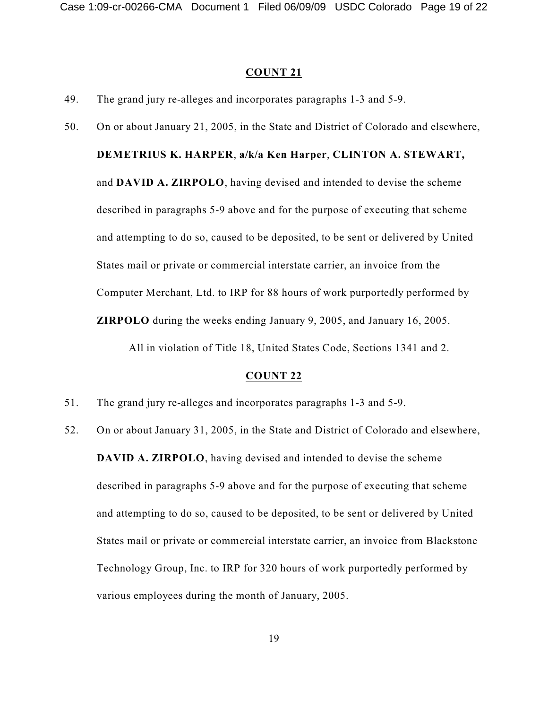#### **COUNT 21**

- 49. The grand jury re-alleges and incorporates paragraphs 1-3 and 5-9.
- 50. On or about January 21, 2005, in the State and District of Colorado and elsewhere,

## **DEMETRIUS K. HARPER**, **a/k/a Ken Harper**, **CLINTON A. STEWART,**

and **DAVID A. ZIRPOLO**, having devised and intended to devise the scheme described in paragraphs 5-9 above and for the purpose of executing that scheme and attempting to do so, caused to be deposited, to be sent or delivered by United States mail or private or commercial interstate carrier, an invoice from the Computer Merchant, Ltd. to IRP for 88 hours of work purportedly performed by **ZIRPOLO** during the weeks ending January 9, 2005, and January 16, 2005.

All in violation of Title 18, United States Code, Sections 1341 and 2.

- 51. The grand jury re-alleges and incorporates paragraphs 1-3 and 5-9.
- 52. On or about January 31, 2005, in the State and District of Colorado and elsewhere, **DAVID A. ZIRPOLO**, having devised and intended to devise the scheme described in paragraphs 5-9 above and for the purpose of executing that scheme and attempting to do so, caused to be deposited, to be sent or delivered by United States mail or private or commercial interstate carrier, an invoice from Blackstone Technology Group, Inc. to IRP for 320 hours of work purportedly performed by various employees during the month of January, 2005.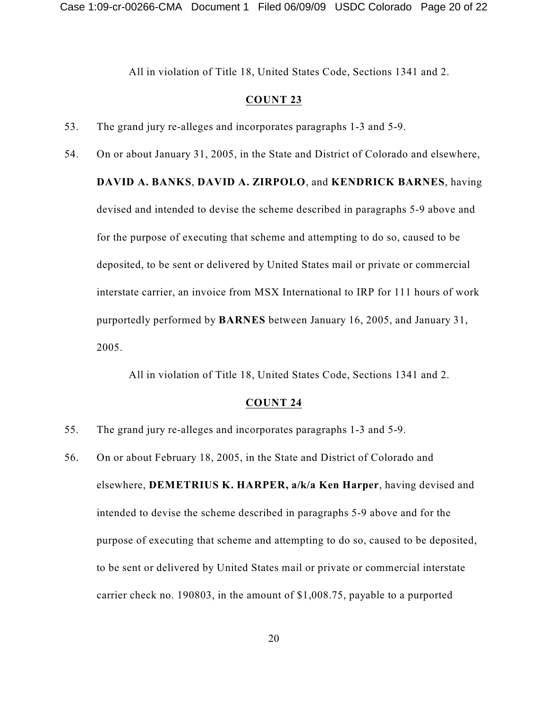All in violation of Title 18, United States Code, Sections 1341 and 2.

#### **COUNT 23**

- 53. The grand jury re-alleges and incorporates paragraphs 1-3 and 5-9.
- 54. On or about January 31, 2005, in the State and District of Colorado and elsewhere, **DAVID A. BANKS**, **DAVID A. ZIRPOLO**, and **KENDRICK BARNES**, having devised and intended to devise the scheme described in paragraphs 5-9 above and for the purpose of executing that scheme and attempting to do so, caused to be deposited, to be sent or delivered by United States mail or private or commercial interstate carrier, an invoice from MSX International to IRP for 111 hours of work purportedly performed by **BARNES** between January 16, 2005, and January 31, 2005.

All in violation of Title 18, United States Code, Sections 1341 and 2.

- 55. The grand jury re-alleges and incorporates paragraphs 1-3 and 5-9.
- 56. On or about February 18, 2005, in the State and District of Colorado and elsewhere, **DEMETRIUS K. HARPER, a/k/a Ken Harper**, having devised and intended to devise the scheme described in paragraphs 5-9 above and for the purpose of executing that scheme and attempting to do so, caused to be deposited, to be sent or delivered by United States mail or private or commercial interstate carrier check no. 190803, in the amount of \$1,008.75, payable to a purported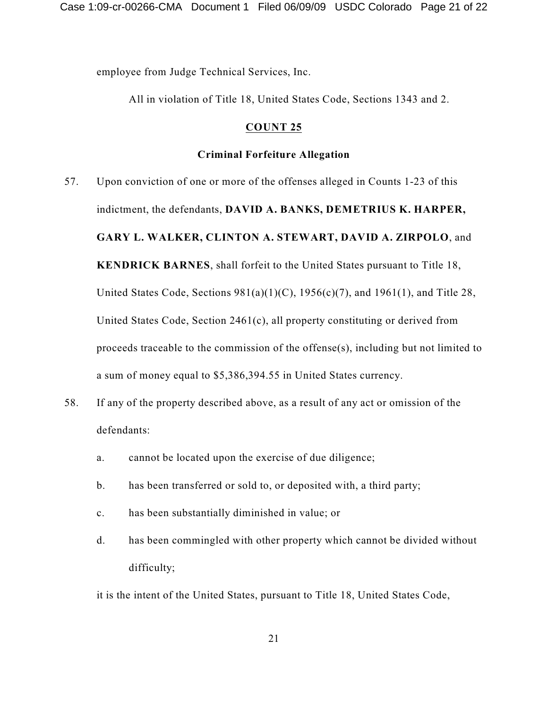employee from Judge Technical Services, Inc.

All in violation of Title 18, United States Code, Sections 1343 and 2.

### **COUNT 25**

#### **Criminal Forfeiture Allegation**

- 57. Upon conviction of one or more of the offenses alleged in Counts 1-23 of this indictment, the defendants, **DAVID A. BANKS, DEMETRIUS K. HARPER, GARY L. WALKER, CLINTON A. STEWART, DAVID A. ZIRPOLO**, and **KENDRICK BARNES**, shall forfeit to the United States pursuant to Title 18, United States Code, Sections  $981(a)(1)(C)$ ,  $1956(c)(7)$ , and  $1961(1)$ , and Title 28, United States Code, Section 2461(c), all property constituting or derived from proceeds traceable to the commission of the offense(s), including but not limited to a sum of money equal to \$5,386,394.55 in United States currency.
- 58. If any of the property described above, as a result of any act or omission of the defendants:
	- a. cannot be located upon the exercise of due diligence;
	- b. has been transferred or sold to, or deposited with, a third party;
	- c. has been substantially diminished in value; or
	- d. has been commingled with other property which cannot be divided without difficulty;

it is the intent of the United States, pursuant to Title 18, United States Code,